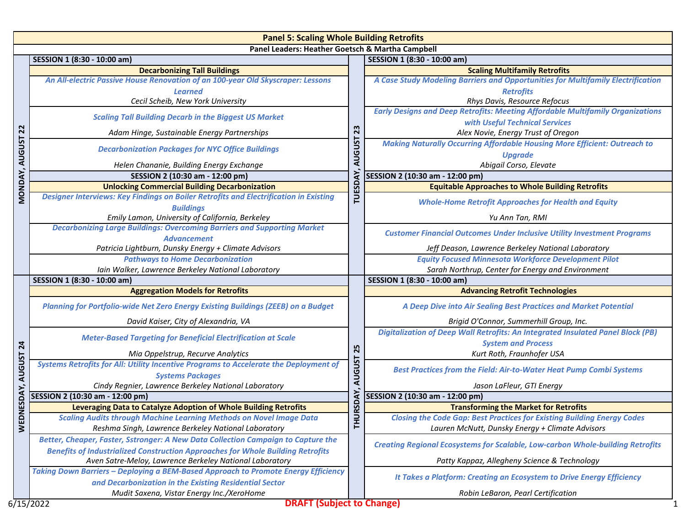|                                                  | <b>Panel 5: Scaling Whole Building Retrofits</b>                                                          |                     |                                                                                        |  |  |
|--------------------------------------------------|-----------------------------------------------------------------------------------------------------------|---------------------|----------------------------------------------------------------------------------------|--|--|
| Panel Leaders: Heather Goetsch & Martha Campbell |                                                                                                           |                     |                                                                                        |  |  |
|                                                  | SESSION 1 (8:30 - 10:00 am)                                                                               |                     | SESSION 1 (8:30 - 10:00 am)                                                            |  |  |
|                                                  | <b>Decarbonizing Tall Buildings</b>                                                                       | 23                  | <b>Scaling Multifamily Retrofits</b>                                                   |  |  |
|                                                  | An All-electric Passive House Renovation of an 100-year Old Skyscraper: Lessons                           |                     | A Case Study Modeling Barriers and Opportunities for Multifamily Electrification       |  |  |
|                                                  | <b>Learned</b>                                                                                            |                     | <b>Retrofits</b>                                                                       |  |  |
|                                                  | Cecil Scheib, New York University                                                                         |                     | Rhys Davis, Resource Refocus                                                           |  |  |
|                                                  | <b>Scaling Tall Building Decarb in the Biggest US Market</b>                                              |                     | <b>Early Designs and Deep Retrofits: Meeting Affordable Multifamily Organizations</b>  |  |  |
| $\overline{2}$<br><b>AUGUST</b>                  |                                                                                                           |                     | with Useful Technical Services                                                         |  |  |
|                                                  | Adam Hinge, Sustainable Energy Partnerships                                                               |                     | Alex Novie, Energy Trust of Oregon                                                     |  |  |
|                                                  | <b>Decarbonization Packages for NYC Office Buildings</b>                                                  | <b>AUGUST</b>       | <b>Making Naturally Occurring Affordable Housing More Efficient: Outreach to</b>       |  |  |
|                                                  |                                                                                                           |                     | <b>Upgrade</b>                                                                         |  |  |
|                                                  | Helen Chananie, Building Energy Exchange                                                                  | TUESDAY             | Abigail Corso, Elevate                                                                 |  |  |
| <b>MONDAY</b>                                    | SESSION 2 (10:30 am - 12:00 pm)                                                                           |                     | SESSION 2 (10:30 am - 12:00 pm)                                                        |  |  |
|                                                  | <b>Unlocking Commercial Building Decarbonization</b>                                                      |                     | <b>Equitable Approaches to Whole Building Retrofits</b>                                |  |  |
|                                                  | Designer Interviews: Key Findings on Boiler Retrofits and Electrification in Existing<br><b>Buildings</b> |                     | <b>Whole-Home Retrofit Approaches for Health and Equity</b>                            |  |  |
|                                                  | Emily Lamon, University of California, Berkeley                                                           |                     | Yu Ann Tan, RMI                                                                        |  |  |
|                                                  | <b>Decarbonizing Large Buildings: Overcoming Barriers and Supporting Market</b><br><b>Advancement</b>     |                     | <b>Customer Financial Outcomes Under Inclusive Utility Investment Programs</b>         |  |  |
|                                                  | Patricia Lightburn, Dunsky Energy + Climate Advisors                                                      |                     | Jeff Deason, Lawrence Berkeley National Laboratory                                     |  |  |
|                                                  | <b>Pathways to Home Decarbonization</b>                                                                   |                     | <b>Equity Focused Minnesota Workforce Development Pilot</b>                            |  |  |
|                                                  | Iain Walker, Lawrence Berkeley National Laboratory                                                        |                     | Sarah Northrup, Center for Energy and Environment                                      |  |  |
|                                                  | SESSION 1 (8:30 - 10:00 am)                                                                               | 25<br><b>AUGUST</b> | SESSION 1 (8:30 - 10:00 am)                                                            |  |  |
|                                                  | <b>Aggregation Models for Retrofits</b>                                                                   |                     | <b>Advancing Retrofit Technologies</b>                                                 |  |  |
|                                                  | Planning for Portfolio-wide Net Zero Energy Existing Buildings (ZEEB) on a Budget                         |                     | A Deep Dive into Air Sealing Best Practices and Market Potential                       |  |  |
|                                                  | David Kaiser, City of Alexandria, VA                                                                      |                     | Brigid O'Connor, Summerhill Group, Inc.                                                |  |  |
|                                                  |                                                                                                           |                     | <b>Digitalization of Deep Wall Retrofits: An Integrated Insulated Panel Block (PB)</b> |  |  |
| $\overline{a}$                                   | <b>Meter-Based Targeting for Beneficial Electrification at Scale</b>                                      |                     | <b>System and Process</b>                                                              |  |  |
|                                                  | Mia Oppelstrup, Recurve Analytics                                                                         |                     | Kurt Roth, Fraunhofer USA                                                              |  |  |
| <b>AUGUST</b>                                    | Systems Retrofits for All: Utility Incentive Programs to Accelerate the Deployment of                     |                     | <b>Best Practices from the Field: Air-to-Water Heat Pump Combi Systems</b>             |  |  |
|                                                  | <b>Systems Packages</b>                                                                                   |                     |                                                                                        |  |  |
|                                                  | Cindy Regnier, Lawrence Berkeley National Laboratory                                                      |                     | Jason LaFleur, GTI Energy                                                              |  |  |
|                                                  | SESSION 2 (10:30 am - 12:00 pm)                                                                           |                     | SESSION 2 (10:30 am - 12:00 pm)                                                        |  |  |
| <b>NESDAY</b>                                    | Leveraging Data to Catalyze Adoption of Whole Building Retrofits                                          | URSDAY<br>Ē.        | <b>Transforming the Market for Retrofits</b>                                           |  |  |
|                                                  | <b>Scaling Audits through Machine Learning Methods on Novel Image Data</b>                                |                     | <b>Closing the Code Gap: Best Practices for Existing Building Energy Codes</b>         |  |  |
| WEL                                              | Reshma Singh, Lawrence Berkeley National Laboratory                                                       |                     | Lauren McNutt, Dunsky Energy + Climate Advisors                                        |  |  |
|                                                  | Better, Cheaper, Faster, Sstronger: A New Data Collection Campaign to Capture the                         |                     | <b>Creating Regional Ecosystems for Scalable, Low-carbon Whole-building Retrofits</b>  |  |  |
|                                                  | <b>Benefits of Industrialized Construction Approaches for Whole Building Retrofits</b>                    |                     |                                                                                        |  |  |
|                                                  | Aven Satre-Meloy, Lawrence Berkeley National Laboratory                                                   |                     | Patty Kappaz, Allegheny Science & Technology                                           |  |  |
|                                                  | Taking Down Barriers - Deploying a BEM-Based Approach to Promote Energy Efficiency                        |                     | It Takes a Platform: Creating an Ecosystem to Drive Energy Efficiency                  |  |  |
|                                                  | and Decarbonization in the Existing Residential Sector                                                    |                     |                                                                                        |  |  |
|                                                  | Mudit Saxena, Vistar Energy Inc./XeroHome                                                                 |                     | Robin LeBaron, Pearl Certification                                                     |  |  |
|                                                  | <b>DRAFT (Subject to Change)</b><br>6/15/2022                                                             |                     |                                                                                        |  |  |